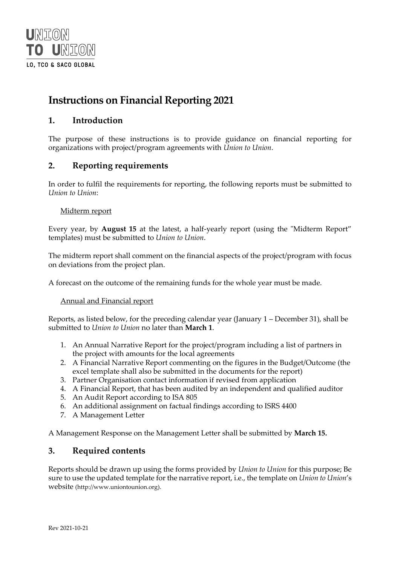

# **Instructions on Financial Reporting 2021**

## **1. Introduction**

The purpose of these instructions is to provide guidance on financial reporting for organizations with project/program agreements with *Union to Union*.

### **2. Reporting requirements**

In order to fulfil the requirements for reporting, the following reports must be submitted to *Union to Union*:

#### Midterm report

Every year, by **August 15** at the latest, a half-yearly report (using the "Midterm Report" templates) must be submitted to *Union to Union*.

The midterm report shall comment on the financial aspects of the project/program with focus on deviations from the project plan.

A forecast on the outcome of the remaining funds for the whole year must be made.

Annual and Financial report

Reports, as listed below, for the preceding calendar year (January 1 – December 31), shall be submitted to *Union to Union* no later than **March 1**.

- 1. An Annual Narrative Report for the project/program including a list of partners in the project with amounts for the local agreements
- 2. A Financial Narrative Report commenting on the figures in the Budget/Outcome (the excel template shall also be submitted in the documents for the report)
- 3. Partner Organisation contact information if revised from application
- 4. A Financial Report, that has been audited by an independent and qualified auditor
- 5. An Audit Report according to ISA 805
- 6. An additional assignment on factual findings according to ISRS 4400
- 7. A Management Letter

A Management Response on the Management Letter shall be submitted by **March 15.**

### **3. Required contents**

Reports should be drawn up using the forms provided by *Union to Union* for this purpose; Be sure to use the updated template for the narrative report, i.e., the template on *Union to Union*'s website [\(http://www.uniontounion.org\)](http://www.uniontounion.org/).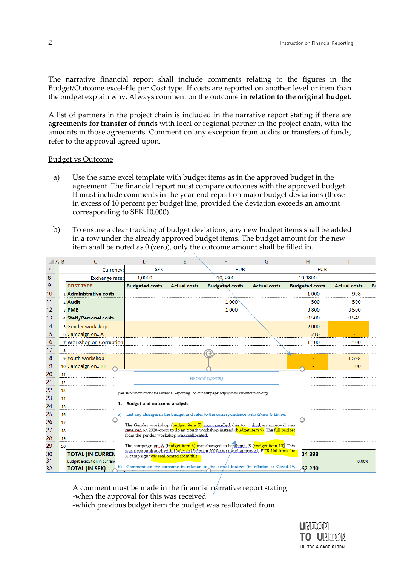The narrative financial report shall include comments relating to the figures in the Budget/Outcome excel-file per Cost type. If costs are reported on another level or item than the budget explain why. Always comment on the outcome **in relation to the original budget.**

A list of partners in the project chain is included in the narrative report stating if there are **agreements for transfer of funds** with local or regional partner in the project chain, with the amounts in those agreements. Comment on any exception from audits or transfers of funds, refer to the approval agreed upon.

#### Budget vs Outcome

- a) Use the same excel template with budget items as in the approved budget in the agreement. The financial report must compare outcomes with the approved budget. It must include comments in the year-end report on major budget deviations (those in excess of 10 percent per budget line, provided the deviation exceeds an amount corresponding to SEK 10,000).
- b) To ensure a clear tracking of budget deviations, any new budget items shall be added in a row under the already approved budget items. The budget amount for the new item shall be noted as 0 (zero), only the outcome amount shall be filled in.

|                 | A B | C                                  | D                                                                                                                                | E                   | F                                                                                             | G                   | H                     |                     |   |
|-----------------|-----|------------------------------------|----------------------------------------------------------------------------------------------------------------------------------|---------------------|-----------------------------------------------------------------------------------------------|---------------------|-----------------------|---------------------|---|
| 7               |     | Currency:                          | <b>SEK</b>                                                                                                                       |                     | <b>EUR</b>                                                                                    |                     | <b>EUR</b>            |                     |   |
| 8               |     | <b>Exchange rate:</b>              | 1,0000                                                                                                                           |                     | 10,3800                                                                                       |                     | 10,3800               |                     |   |
| 9               |     | <b>COST TYPE</b>                   | <b>Budgeted costs</b>                                                                                                            | <b>Actual costs</b> | <b>Budgeted costs</b>                                                                         | <b>Actual costs</b> | <b>Budgeted costs</b> | <b>Actual costs</b> | B |
| 10              |     | 1 Administrative costs             |                                                                                                                                  |                     |                                                                                               |                     | 1 0 0 0               | 998                 |   |
| 11              |     | 2 Audit                            |                                                                                                                                  |                     | 1000                                                                                          |                     | 500                   | 500                 |   |
| 12              |     | 3 PME                              |                                                                                                                                  |                     | 1 0 0 0                                                                                       |                     | 3800                  | 3500                |   |
| 13              |     | 4 Staff/Personel costs             |                                                                                                                                  |                     |                                                                                               |                     | 9500                  | 9545                |   |
| 14              |     | 5 Gender workshop                  |                                                                                                                                  |                     |                                                                                               |                     | 2 0 0 0               |                     |   |
| 15              |     | 6 Campaign onA                     |                                                                                                                                  |                     |                                                                                               |                     | 216                   |                     |   |
| 16              |     | 7 Workshop on Corruption           |                                                                                                                                  |                     |                                                                                               |                     | 1 1 0 0               | 100                 |   |
| 17              | 8   |                                    |                                                                                                                                  |                     |                                                                                               |                     |                       |                     |   |
| 18              |     | 9 Youth workshop                   |                                                                                                                                  |                     |                                                                                               |                     |                       | 1598                |   |
| 19              |     | 10 Campaign onBB                   |                                                                                                                                  |                     |                                                                                               |                     |                       | 100                 |   |
| 20              | 11  |                                    |                                                                                                                                  |                     | Financial reporting                                                                           |                     |                       |                     |   |
| $\overline{21}$ | 12  |                                    |                                                                                                                                  |                     |                                                                                               |                     |                       |                     |   |
| 22              | 13  |                                    |                                                                                                                                  |                     | (See also "Instructions for Financial Reporting" on our webpage: http://www.uniontounion.org) |                     |                       |                     |   |
| 23              | 14  |                                    |                                                                                                                                  |                     |                                                                                               |                     |                       |                     |   |
| 24              | 15  |                                    | 1. Budget and outcome analysis                                                                                                   |                     |                                                                                               |                     |                       |                     |   |
| 25              | 16  | a)                                 |                                                                                                                                  |                     | List any changes in the budget and refer to the correspondence with <i>Union to Union</i> .   |                     |                       |                     |   |
| 26              | 17  |                                    |                                                                                                                                  |                     | The Gender workshop (budget item 5) was cancelled due to And an approval was                  |                     |                       |                     |   |
| 27              | 18  |                                    | from the gender workshop was reallocated,                                                                                        |                     | reveived on 2020-xx-xx to do an Youth workshop instead (budget item 9). The full budget       |                     |                       |                     |   |
| 28              | 19  |                                    |                                                                                                                                  |                     |                                                                                               |                     |                       |                     |   |
| 29              | 20  |                                    | The campaign on A (budget item 6) was changed to be about B (budget item 10). This                                               |                     |                                                                                               |                     |                       |                     |   |
| 30              |     | <b>TOTAL (IN CURREN</b>            | was communicated with <i>Union to Union</i> on 2020-xx-xx and approved. EUR 100 from the<br>A campaign was reallocated from this |                     |                                                                                               |                     |                       |                     |   |
| 31              |     | <b>Budget execution in currend</b> |                                                                                                                                  |                     |                                                                                               |                     |                       | 0.00%               |   |
| 32              |     | <b>TOTAL (IN SEK)</b>              |                                                                                                                                  |                     | b) Comment on the outcome in relation to the actual budget (in relation to Covid-19,          |                     | 52 240                |                     |   |

A comment must be made in the financial narrative report stating -when the approval for this was received

-which previous budget item the budget was reallocated from

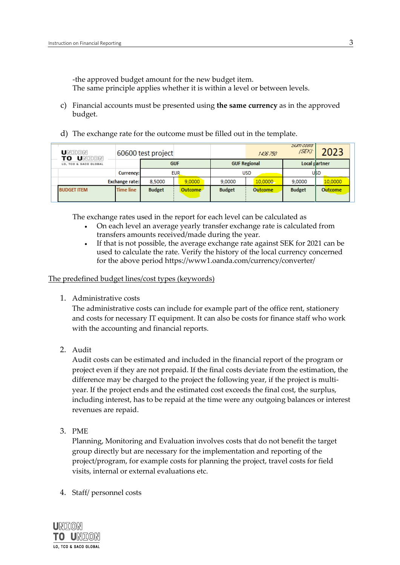-the approved budget amount for the new budget item.

The same principle applies whether it is within a level or between levels.

- c) Financial accounts must be presented using **the same currency** as in the approved budget.
- d) The exchange rate for the outcome must be filled out in the template.

| UNITON<br>UNITON<br>то |                       | 60600 test project |         |                     | 1436.750 | -מפתח ממות<br>/SEK): | 2023           |
|------------------------|-----------------------|--------------------|---------|---------------------|----------|----------------------|----------------|
| LO, TCO & SACO GLOBAL  |                       | <b>GUF</b>         |         | <b>GUF Regional</b> |          | Local rlartner       |                |
|                        | Currency:             | <b>EUR</b>         |         | <b>USD</b>          |          | UBD                  |                |
|                        | <b>Exchange rate:</b> | 8,5000             | 9.0000  | 9,0000              | 10,0000  | 9,0000               | 10,0000        |
| <b>BUDGET ITEM</b>     | <b>Time line</b>      | <b>Budget</b>      | Outcome | <b>Budget</b>       | Outcome  | <b>Budget</b>        | <b>Outcome</b> |

The exchange rates used in the report for each level can be calculated as

- On each level an average yearly transfer exchange rate is calculated from transfers amounts received/made during the year.
- If that is not possible, the average exchange rate against SEK for 2021 can be used to calculate the rate. Verify the history of the local currency concerned for the above period https://www1.oanda.com/currency/converter/

The predefined budget lines/cost types (keywords)

1. Administrative costs

The administrative costs can include for example part of the office rent, stationery and costs for necessary IT equipment. It can also be costs for finance staff who work with the accounting and financial reports.

2. Audit

Audit costs can be estimated and included in the financial report of the program or project even if they are not prepaid. If the final costs deviate from the estimation, the difference may be charged to the project the following year, if the project is multiyear. If the project ends and the estimated cost exceeds the final cost, the surplus, including interest, has to be repaid at the time were any outgoing balances or interest revenues are repaid.

3. PME

Planning, Monitoring and Evaluation involves costs that do not benefit the target group directly but are necessary for the implementation and reporting of the project/program, for example costs for planning the project, travel costs for field visits, internal or external evaluations etc.

4. Staff/ personnel costs

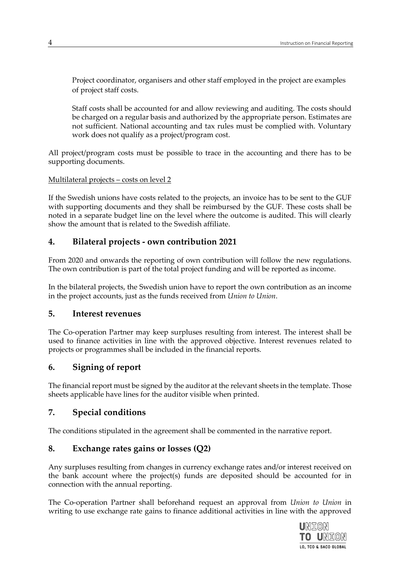Project coordinator, organisers and other staff employed in the project are examples of project staff costs.

Staff costs shall be accounted for and allow reviewing and auditing. The costs should be charged on a regular basis and authorized by the appropriate person. Estimates are not sufficient. National accounting and tax rules must be complied with. Voluntary work does not qualify as a project/program cost.

All project/program costs must be possible to trace in the accounting and there has to be supporting documents.

Multilateral projects – costs on level 2

If the Swedish unions have costs related to the projects, an invoice has to be sent to the GUF with supporting documents and they shall be reimbursed by the GUF. These costs shall be noted in a separate budget line on the level where the outcome is audited. This will clearly show the amount that is related to the Swedish affiliate.

## **4. Bilateral projects - own contribution 2021**

From 2020 and onwards the reporting of own contribution will follow the new regulations. The own contribution is part of the total project funding and will be reported as income.

In the bilateral projects, the Swedish union have to report the own contribution as an income in the project accounts, just as the funds received from *Union to Union*.

#### **5. Interest revenues**

The Co-operation Partner may keep surpluses resulting from interest. The interest shall be used to finance activities in line with the approved objective. Interest revenues related to projects or programmes shall be included in the financial reports.

# **6. Signing of report**

The financial report must be signed by the auditor at the relevant sheets in the template. Those sheets applicable have lines for the auditor visible when printed.

### **7. Special conditions**

The conditions stipulated in the agreement shall be commented in the narrative report.

# **8. Exchange rates gains or losses (Q2)**

Any surpluses resulting from changes in currency exchange rates and/or interest received on the bank account where the project(s) funds are deposited should be accounted for in connection with the annual reporting.

The Co-operation Partner shall beforehand request an approval from *Union to Union* in writing to use exchange rate gains to finance additional activities in line with the approved

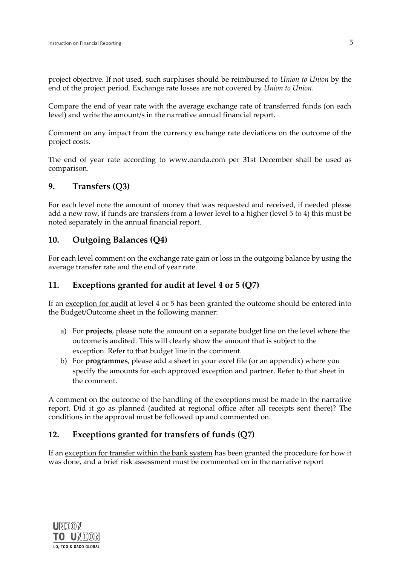project objective. If not used, such surpluses should be reimbursed to *Union to Union* by the end of the project period. Exchange rate losses are not covered by *Union to Union*.

Compare the end of year rate with the average exchange rate of transferred funds (on each level) and write the amount/s in the narrative annual financial report.

Comment on any impact from the currency exchange rate deviations on the outcome of the project costs.

The end of year rate according to [www.oanda.com](http://www.oanda.com/) per 31st December shall be used as comparison.

#### **9. Transfers (Q3)**

For each level note the amount of money that was requested and received, if needed please add a new row, if funds are transfers from a lower level to a higher (level 5 to 4) this must be noted separately in the annual financial report.

#### **10. Outgoing Balances (Q4)**

For each level comment on the exchange rate gain or loss in the outgoing balance by using the average transfer rate and the end of year rate.

### **11. Exceptions granted for audit at level 4 or 5 (Q7)**

If an exception for audit at level 4 or 5 has been granted the outcome should be entered into the Budget/Outcome sheet in the following manner:

- a) For **projects**, please note the amount on a separate budget line on the level where the outcome is audited. This will clearly show the amount that is subject to the exception. Refer to that budget line in the comment.
- b) For **programmes**, please add a sheet in your excel file (or an appendix) where you specify the amounts for each approved exception and partner. Refer to that sheet in the comment.

A comment on the outcome of the handling of the exceptions must be made in the narrative report. Did it go as planned (audited at regional office after all receipts sent there)? The conditions in the approval must be followed up and commented on.

### **12. Exceptions granted for transfers of funds (Q7)**

If an exception for transfer within the bank system has been granted the procedure for how it was done, and a brief risk assessment must be commented on in the narrative report